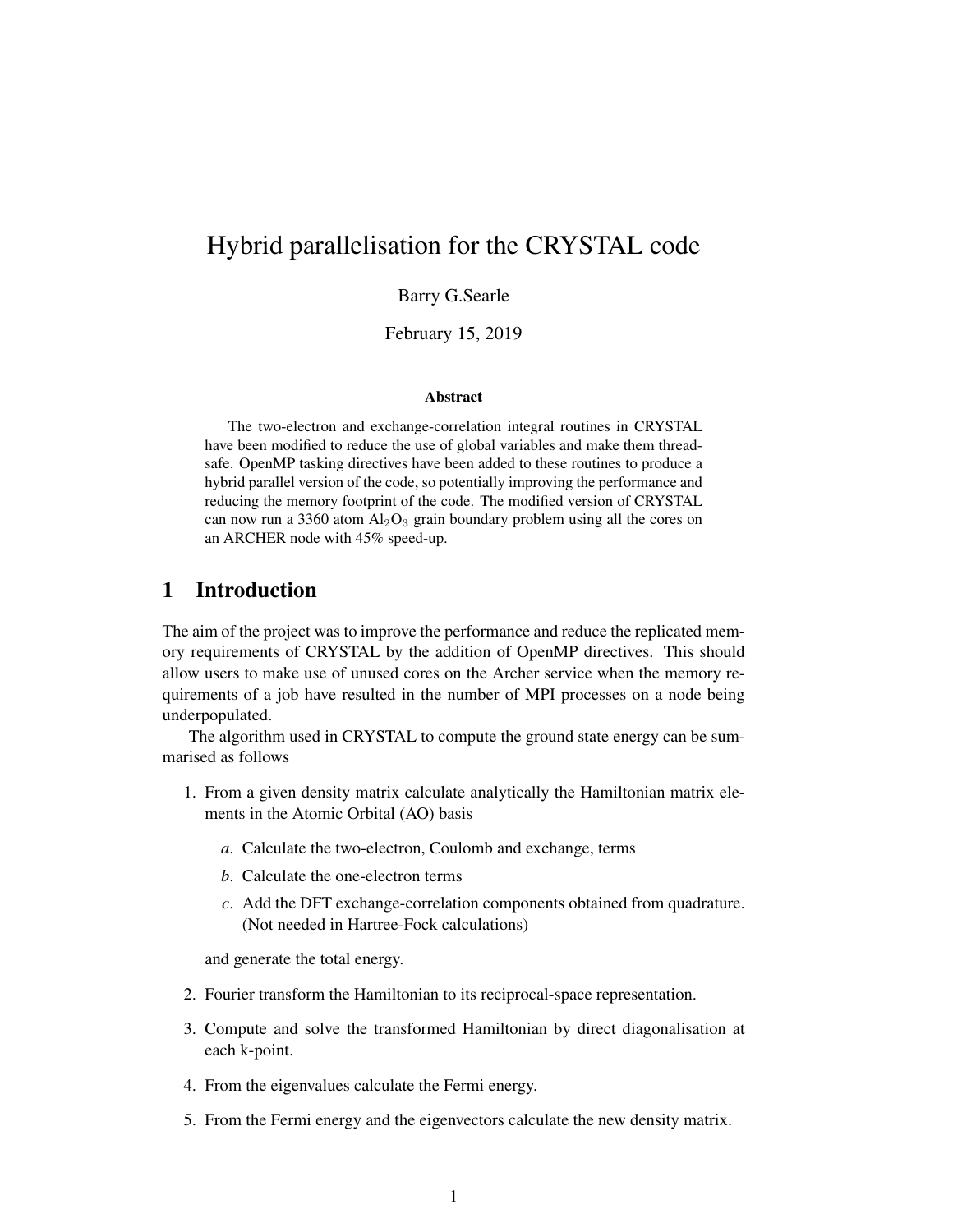# Hybrid parallelisation for the CRYSTAL code

Barry G.Searle

February 15, 2019

#### Abstract

The two-electron and exchange-correlation integral routines in CRYSTAL have been modified to reduce the use of global variables and make them threadsafe. OpenMP tasking directives have been added to these routines to produce a hybrid parallel version of the code, so potentially improving the performance and reducing the memory footprint of the code. The modified version of CRYSTAL can now run a 3360 atom  $Al_2O_3$  grain boundary problem using all the cores on an ARCHER node with 45% speed-up.

## 1 Introduction

The aim of the project was to improve the performance and reduce the replicated memory requirements of CRYSTAL by the addition of OpenMP directives. This should allow users to make use of unused cores on the Archer service when the memory requirements of a job have resulted in the number of MPI processes on a node being underpopulated.

The algorithm used in CRYSTAL to compute the ground state energy can be summarised as follows

- 1. From a given density matrix calculate analytically the Hamiltonian matrix elements in the Atomic Orbital (AO) basis
	- *a*. Calculate the two-electron, Coulomb and exchange, terms
	- *b*. Calculate the one-electron terms
	- *c*. Add the DFT exchange-correlation components obtained from quadrature. (Not needed in Hartree-Fock calculations)

and generate the total energy.

- 2. Fourier transform the Hamiltonian to its reciprocal-space representation.
- 3. Compute and solve the transformed Hamiltonian by direct diagonalisation at each k-point.
- 4. From the eigenvalues calculate the Fermi energy.
- 5. From the Fermi energy and the eigenvectors calculate the new density matrix.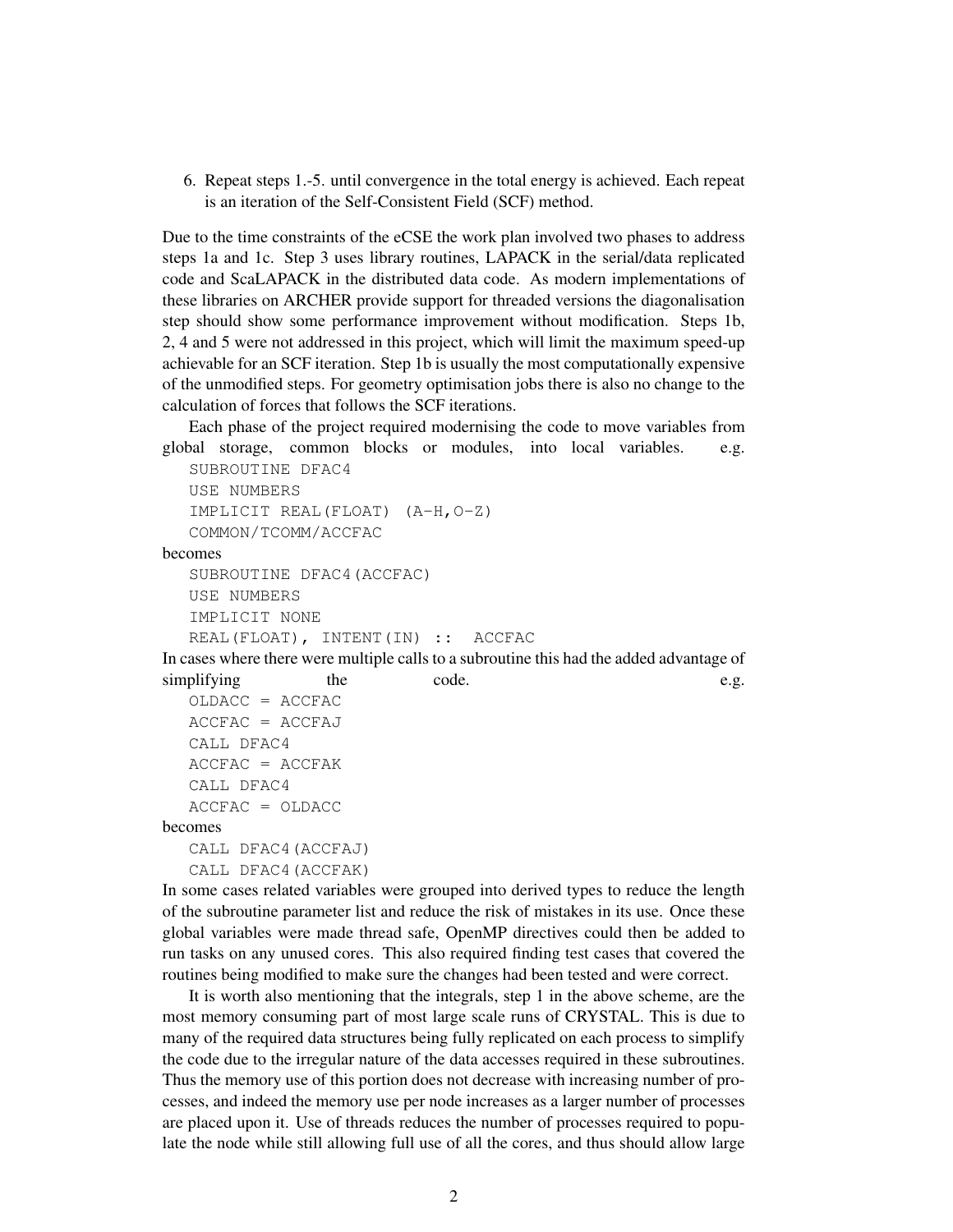6. Repeat steps 1.-5. until convergence in the total energy is achieved. Each repeat is an iteration of the Self-Consistent Field (SCF) method.

Due to the time constraints of the eCSE the work plan involved two phases to address steps 1a and 1c. Step 3 uses library routines, LAPACK in the serial/data replicated code and ScaLAPACK in the distributed data code. As modern implementations of these libraries on ARCHER provide support for threaded versions the diagonalisation step should show some performance improvement without modification. Steps 1b, 2, 4 and 5 were not addressed in this project, which will limit the maximum speed-up achievable for an SCF iteration. Step 1b is usually the most computationally expensive of the unmodified steps. For geometry optimisation jobs there is also no change to the calculation of forces that follows the SCF iterations.

Each phase of the project required modernising the code to move variables from global storage, common blocks or modules, into local variables. e.g.

```
SUBROUTINE DFAC4
USE NUMBERS
IMPLICIT REAL(FLOAT) (A-H, O-Z)
COMMON/TCOMM/ACCFAC
```
becomes

```
SUBROUTINE DFAC4(ACCFAC)
USE NUMBERS
IMPLICIT NONE
REAL(FLOAT), INTENT(IN) :: ACCFAC
```
In cases where there were multiple calls to a subroutine this had the added advantage of simplifying the code. e.g. OLDACC = ACCFAC

```
ACCFAC = ACCFAJCALL DFAC4
ACCFAC = ACCFAKCALL DFAC4
ACCFAC = OLDACC
```
becomes

CALL DFAC4(ACCFAJ) CALL DFAC4(ACCFAK)

In some cases related variables were grouped into derived types to reduce the length of the subroutine parameter list and reduce the risk of mistakes in its use. Once these global variables were made thread safe, OpenMP directives could then be added to run tasks on any unused cores. This also required finding test cases that covered the routines being modified to make sure the changes had been tested and were correct.

It is worth also mentioning that the integrals, step 1 in the above scheme, are the most memory consuming part of most large scale runs of CRYSTAL. This is due to many of the required data structures being fully replicated on each process to simplify the code due to the irregular nature of the data accesses required in these subroutines. Thus the memory use of this portion does not decrease with increasing number of processes, and indeed the memory use per node increases as a larger number of processes are placed upon it. Use of threads reduces the number of processes required to populate the node while still allowing full use of all the cores, and thus should allow large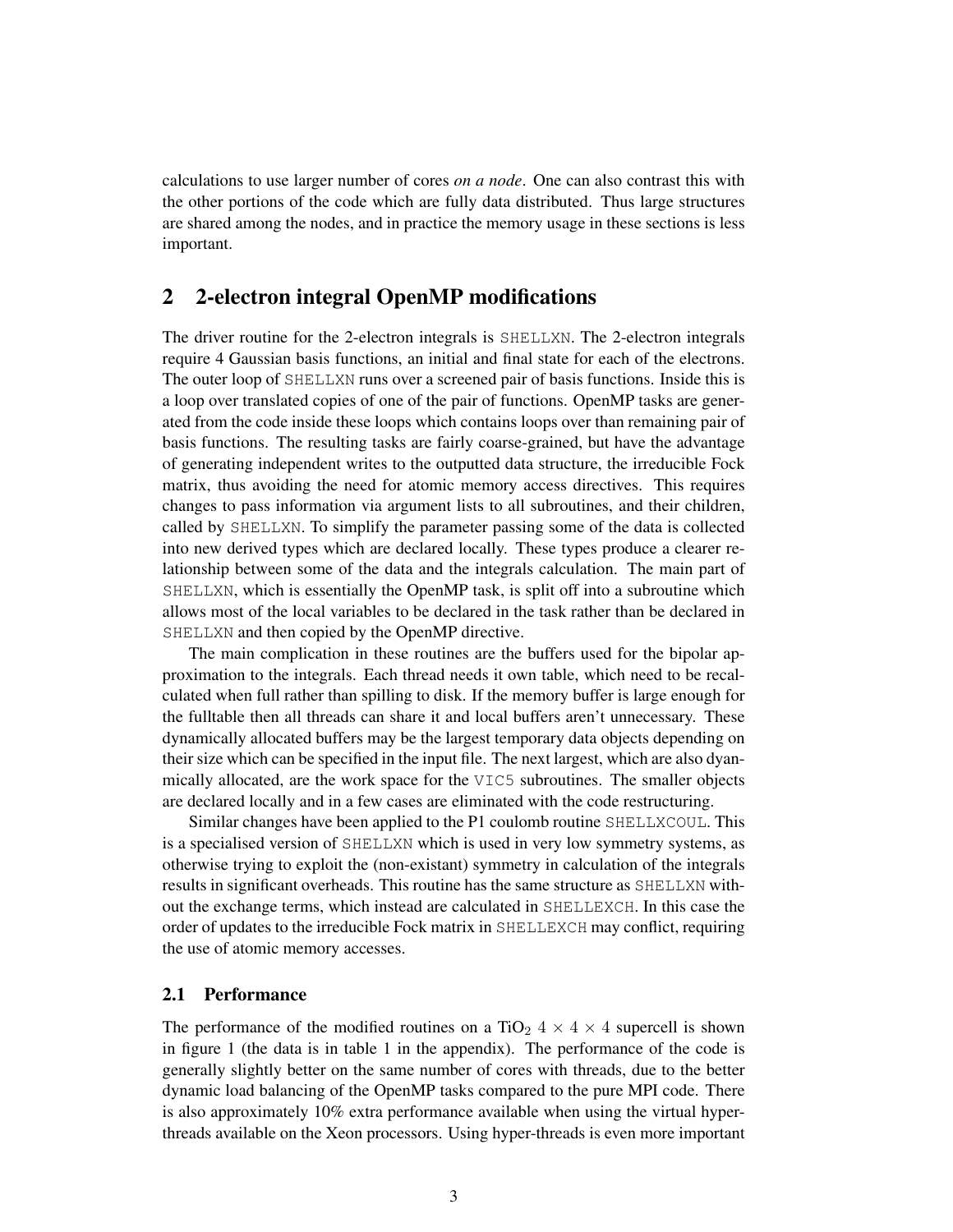calculations to use larger number of cores *on a node*. One can also contrast this with the other portions of the code which are fully data distributed. Thus large structures are shared among the nodes, and in practice the memory usage in these sections is less important.

## 2 2-electron integral OpenMP modifications

The driver routine for the 2-electron integrals is SHELLXN. The 2-electron integrals require 4 Gaussian basis functions, an initial and final state for each of the electrons. The outer loop of SHELLXN runs over a screened pair of basis functions. Inside this is a loop over translated copies of one of the pair of functions. OpenMP tasks are generated from the code inside these loops which contains loops over than remaining pair of basis functions. The resulting tasks are fairly coarse-grained, but have the advantage of generating independent writes to the outputted data structure, the irreducible Fock matrix, thus avoiding the need for atomic memory access directives. This requires changes to pass information via argument lists to all subroutines, and their children, called by SHELLXN. To simplify the parameter passing some of the data is collected into new derived types which are declared locally. These types produce a clearer relationship between some of the data and the integrals calculation. The main part of SHELLXN, which is essentially the OpenMP task, is split off into a subroutine which allows most of the local variables to be declared in the task rather than be declared in SHELLXN and then copied by the OpenMP directive.

The main complication in these routines are the buffers used for the bipolar approximation to the integrals. Each thread needs it own table, which need to be recalculated when full rather than spilling to disk. If the memory buffer is large enough for the fulltable then all threads can share it and local buffers aren't unnecessary. These dynamically allocated buffers may be the largest temporary data objects depending on their size which can be specified in the input file. The next largest, which are also dyanmically allocated, are the work space for the VIC5 subroutines. The smaller objects are declared locally and in a few cases are eliminated with the code restructuring.

Similar changes have been applied to the P1 coulomb routine SHELLXCOUL. This is a specialised version of SHELLXN which is used in very low symmetry systems, as otherwise trying to exploit the (non-existant) symmetry in calculation of the integrals results in significant overheads. This routine has the same structure as SHELLXN without the exchange terms, which instead are calculated in SHELLEXCH. In this case the order of updates to the irreducible Fock matrix in SHELLEXCH may conflict, requiring the use of atomic memory accesses.

#### 2.1 Performance

The performance of the modified routines on a TiO<sub>2</sub>  $4 \times 4 \times 4$  supercell is shown in figure 1 (the data is in table 1 in the appendix). The performance of the code is generally slightly better on the same number of cores with threads, due to the better dynamic load balancing of the OpenMP tasks compared to the pure MPI code. There is also approximately 10% extra performance available when using the virtual hyperthreads available on the Xeon processors. Using hyper-threads is even more important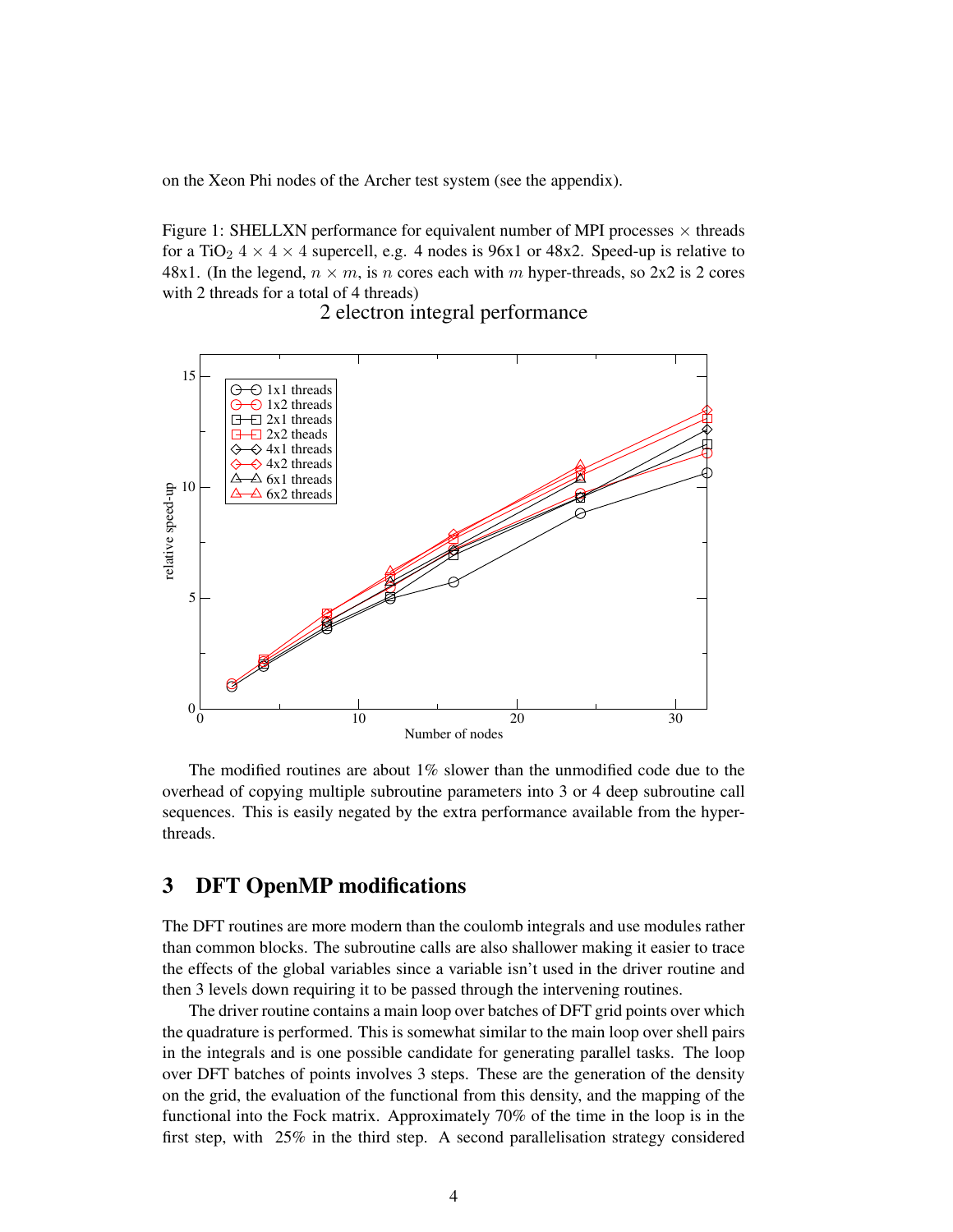on the Xeon Phi nodes of the Archer test system (see the appendix).

Figure 1: SHELLXN performance for equivalent number of MPI processes  $\times$  threads for a TiO<sub>2</sub>  $4 \times 4 \times 4$  supercell, e.g. 4 nodes is 96x1 or 48x2. Speed-up is relative to 48x1. (In the legend,  $n \times m$ , is n cores each with m hyper-threads, so 2x2 is 2 cores with 2 threads for a total of 4 threads)



2 electron integral performance

The modified routines are about 1% slower than the unmodified code due to the overhead of copying multiple subroutine parameters into 3 or 4 deep subroutine call sequences. This is easily negated by the extra performance available from the hyperthreads.

### 3 DFT OpenMP modifications

The DFT routines are more modern than the coulomb integrals and use modules rather than common blocks. The subroutine calls are also shallower making it easier to trace the effects of the global variables since a variable isn't used in the driver routine and then 3 levels down requiring it to be passed through the intervening routines.

The driver routine contains a main loop over batches of DFT grid points over which the quadrature is performed. This is somewhat similar to the main loop over shell pairs in the integrals and is one possible candidate for generating parallel tasks. The loop over DFT batches of points involves 3 steps. These are the generation of the density on the grid, the evaluation of the functional from this density, and the mapping of the functional into the Fock matrix. Approximately 70% of the time in the loop is in the first step, with 25% in the third step. A second parallelisation strategy considered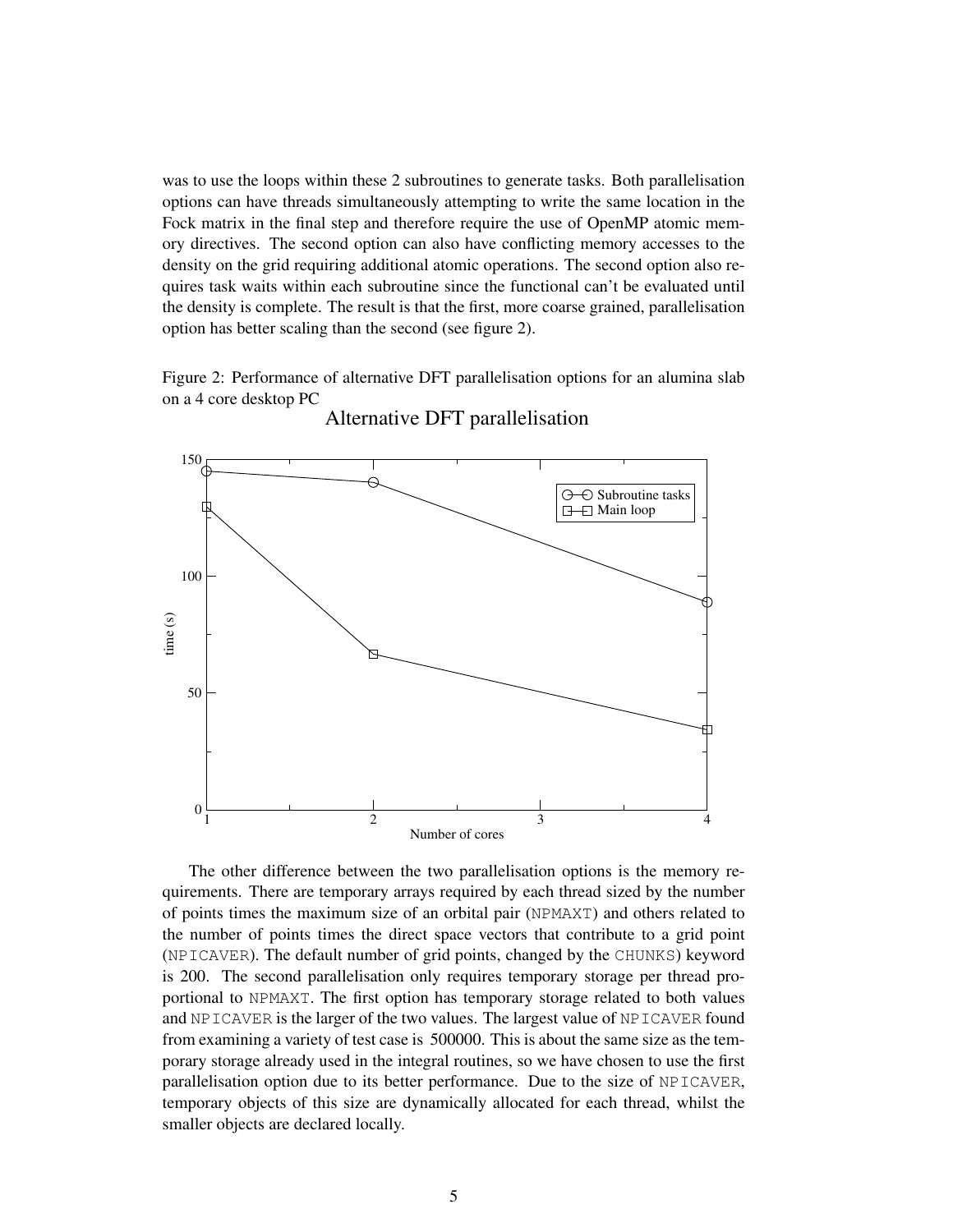was to use the loops within these 2 subroutines to generate tasks. Both parallelisation options can have threads simultaneously attempting to write the same location in the Fock matrix in the final step and therefore require the use of OpenMP atomic memory directives. The second option can also have conflicting memory accesses to the density on the grid requiring additional atomic operations. The second option also requires task waits within each subroutine since the functional can't be evaluated until the density is complete. The result is that the first, more coarse grained, parallelisation option has better scaling than the second (see figure 2).

Figure 2: Performance of alternative DFT parallelisation options for an alumina slab on a 4 core desktop PC



Alternative DFT parallelisation

The other difference between the two parallelisation options is the memory requirements. There are temporary arrays required by each thread sized by the number of points times the maximum size of an orbital pair (NPMAXT) and others related to the number of points times the direct space vectors that contribute to a grid point (NPICAVER). The default number of grid points, changed by the CHUNKS) keyword is 200. The second parallelisation only requires temporary storage per thread proportional to NPMAXT. The first option has temporary storage related to both values and NPICAVER is the larger of the two values. The largest value of NPICAVER found from examining a variety of test case is 500000. This is about the same size as the temporary storage already used in the integral routines, so we have chosen to use the first parallelisation option due to its better performance. Due to the size of NPICAVER, temporary objects of this size are dynamically allocated for each thread, whilst the smaller objects are declared locally.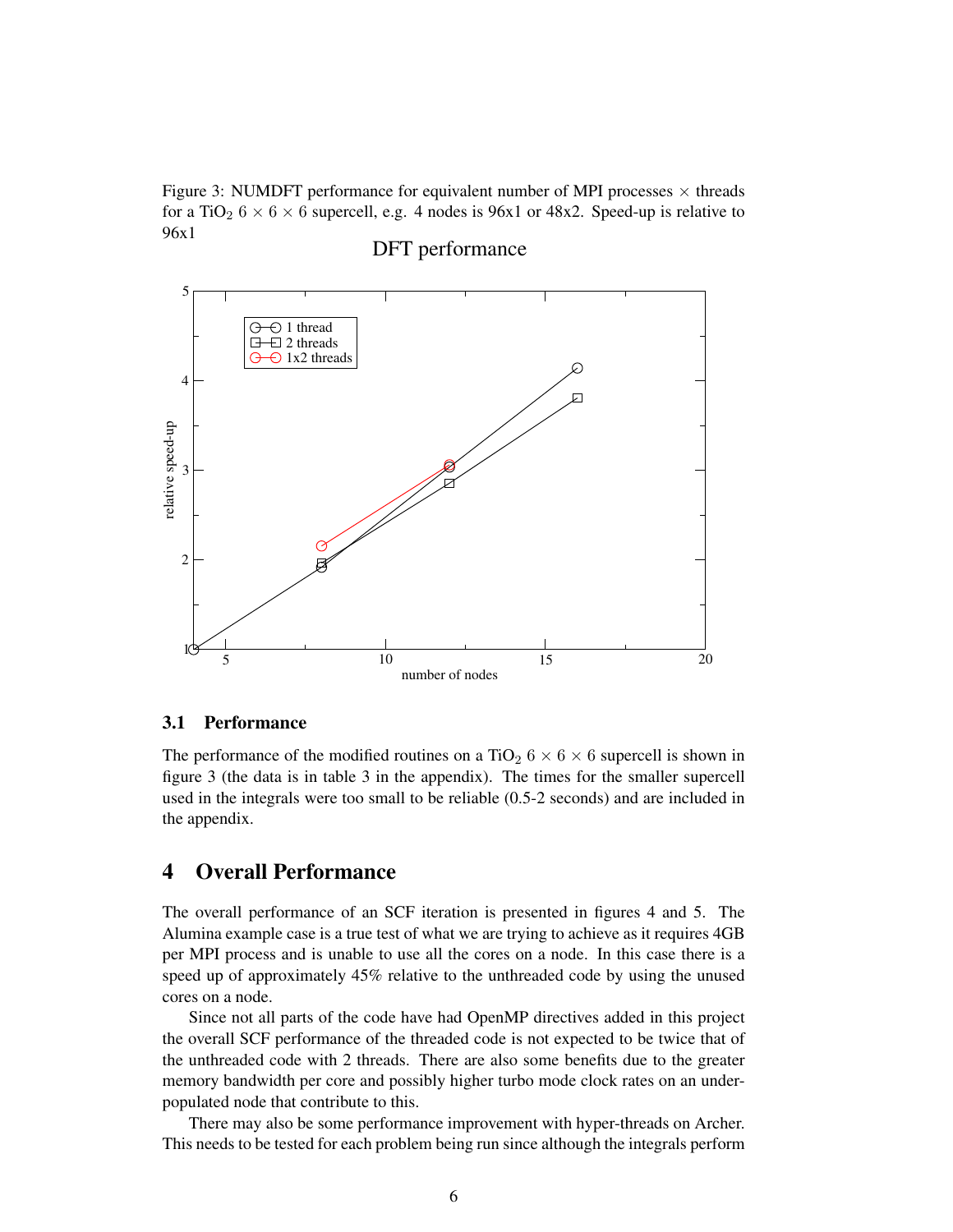Figure 3: NUMDFT performance for equivalent number of MPI processes  $\times$  threads for a TiO<sub>2</sub>  $6 \times 6 \times 6$  supercell, e.g. 4 nodes is 96x1 or 48x2. Speed-up is relative to 96x1

# 5  $\ominus$  1 thread ⊖  $\pm$  2 threads  $\Box$  $\Theta$  1x2 threads 4 relative speed-up 3 2  $10^{\circ}$ 5 10 15 20 number of nodes

## DFT performance

#### 3.1 Performance

The performance of the modified routines on a TiO<sub>2</sub>  $6 \times 6 \times 6$  supercell is shown in figure 3 (the data is in table 3 in the appendix). The times for the smaller supercell used in the integrals were too small to be reliable (0.5-2 seconds) and are included in the appendix.

## 4 Overall Performance

The overall performance of an SCF iteration is presented in figures 4 and 5. The Alumina example case is a true test of what we are trying to achieve as it requires 4GB per MPI process and is unable to use all the cores on a node. In this case there is a speed up of approximately 45% relative to the unthreaded code by using the unused cores on a node.

Since not all parts of the code have had OpenMP directives added in this project the overall SCF performance of the threaded code is not expected to be twice that of the unthreaded code with 2 threads. There are also some benefits due to the greater memory bandwidth per core and possibly higher turbo mode clock rates on an underpopulated node that contribute to this.

There may also be some performance improvement with hyper-threads on Archer. This needs to be tested for each problem being run since although the integrals perform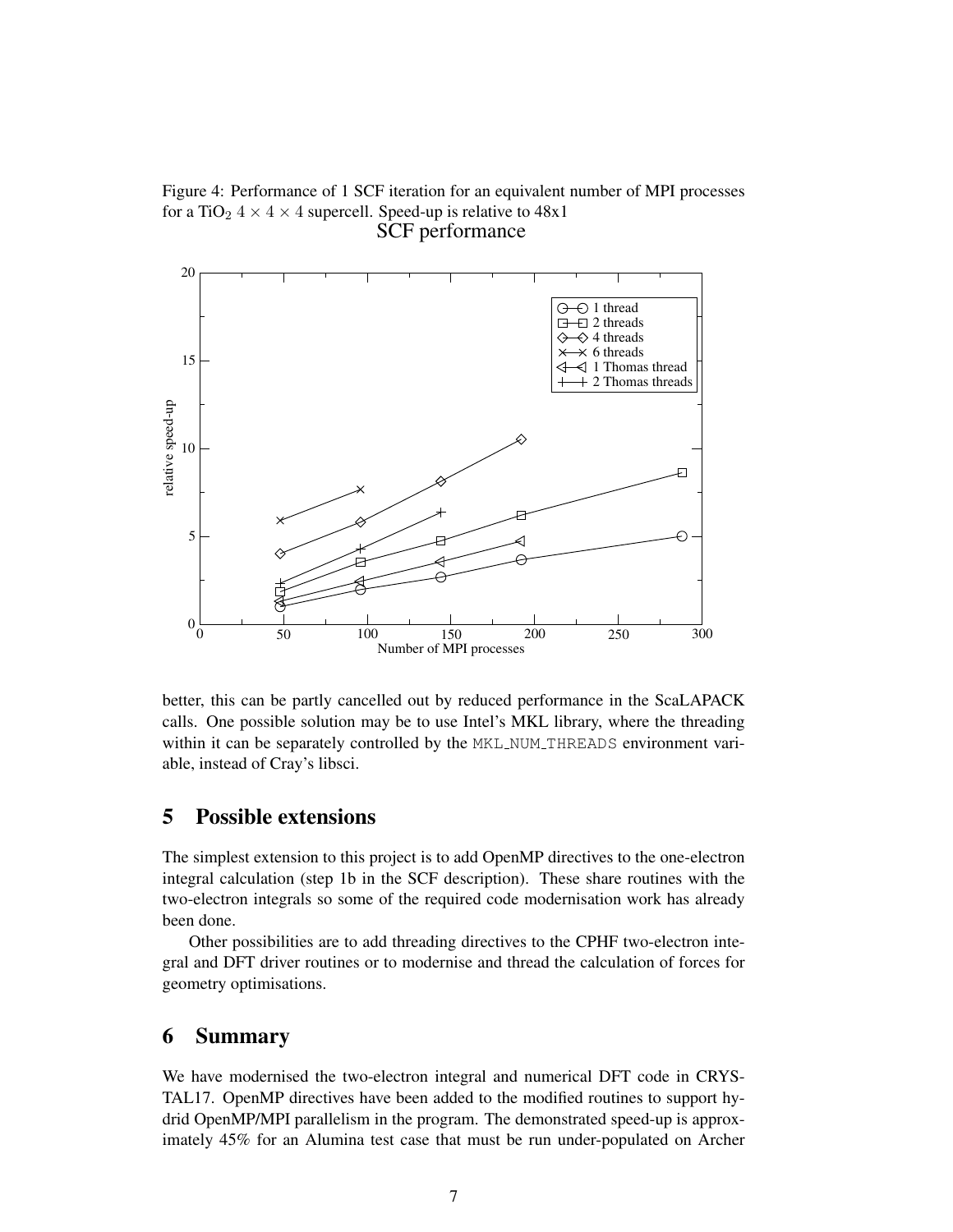Figure 4: Performance of 1 SCF iteration for an equivalent number of MPI processes for a TiO<sub>2</sub>  $4 \times 4 \times 4$  supercell. Speed-up is relative to  $48x1$ SCF performance



better, this can be partly cancelled out by reduced performance in the ScaLAPACK calls. One possible solution may be to use Intel's MKL library, where the threading within it can be separately controlled by the MKL NUM THREADS environment variable, instead of Cray's libsci.

## 5 Possible extensions

The simplest extension to this project is to add OpenMP directives to the one-electron integral calculation (step 1b in the SCF description). These share routines with the two-electron integrals so some of the required code modernisation work has already been done.

Other possibilities are to add threading directives to the CPHF two-electron integral and DFT driver routines or to modernise and thread the calculation of forces for geometry optimisations.

## 6 Summary

We have modernised the two-electron integral and numerical DFT code in CRYS-TAL17. OpenMP directives have been added to the modified routines to support hydrid OpenMP/MPI parallelism in the program. The demonstrated speed-up is approximately 45% for an Alumina test case that must be run under-populated on Archer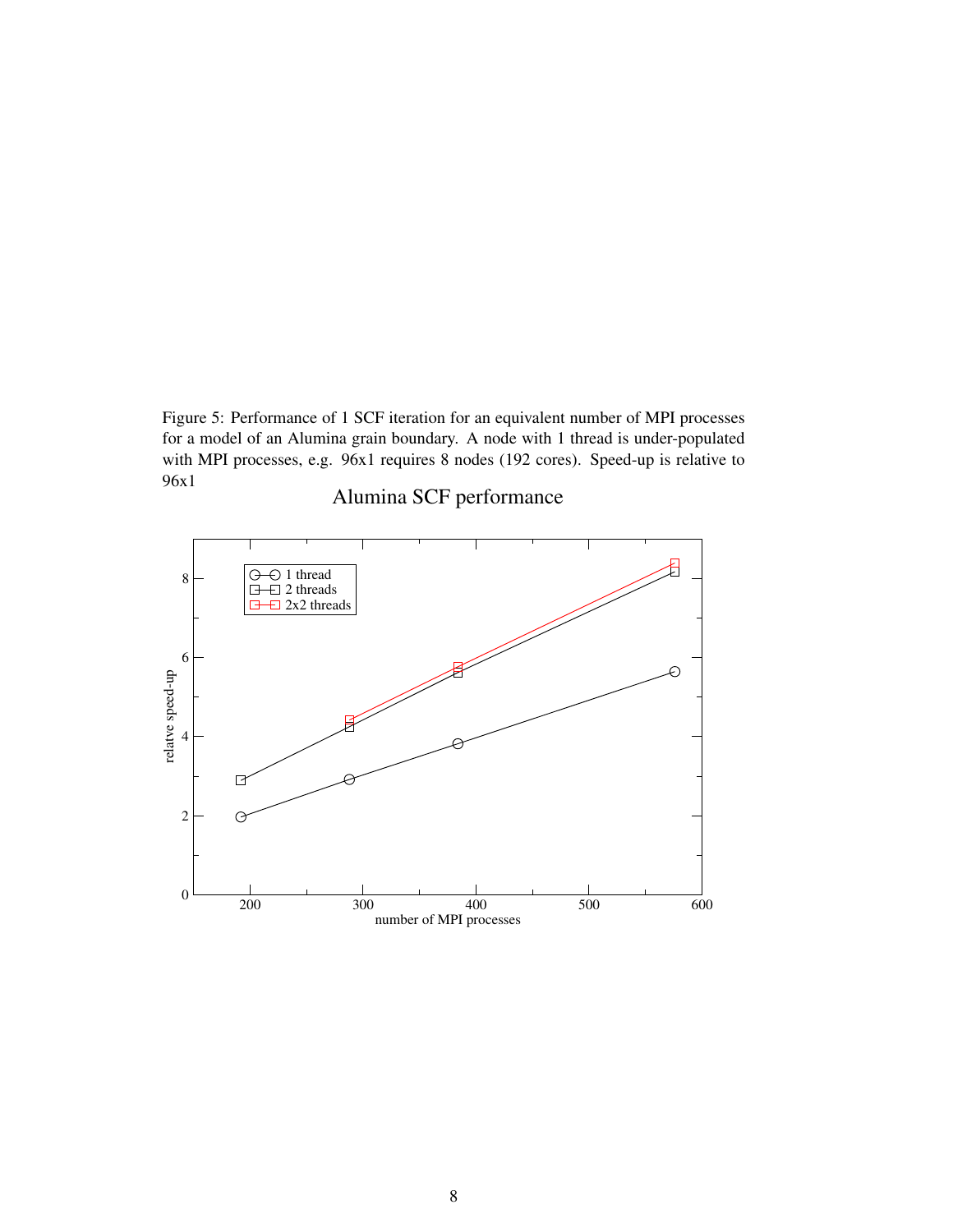Figure 5: Performance of 1 SCF iteration for an equivalent number of MPI processes for a model of an Alumina grain boundary. A node with 1 thread is under-populated with MPI processes, e.g. 96x1 requires 8 nodes (192 cores). Speed-up is relative to 96x1



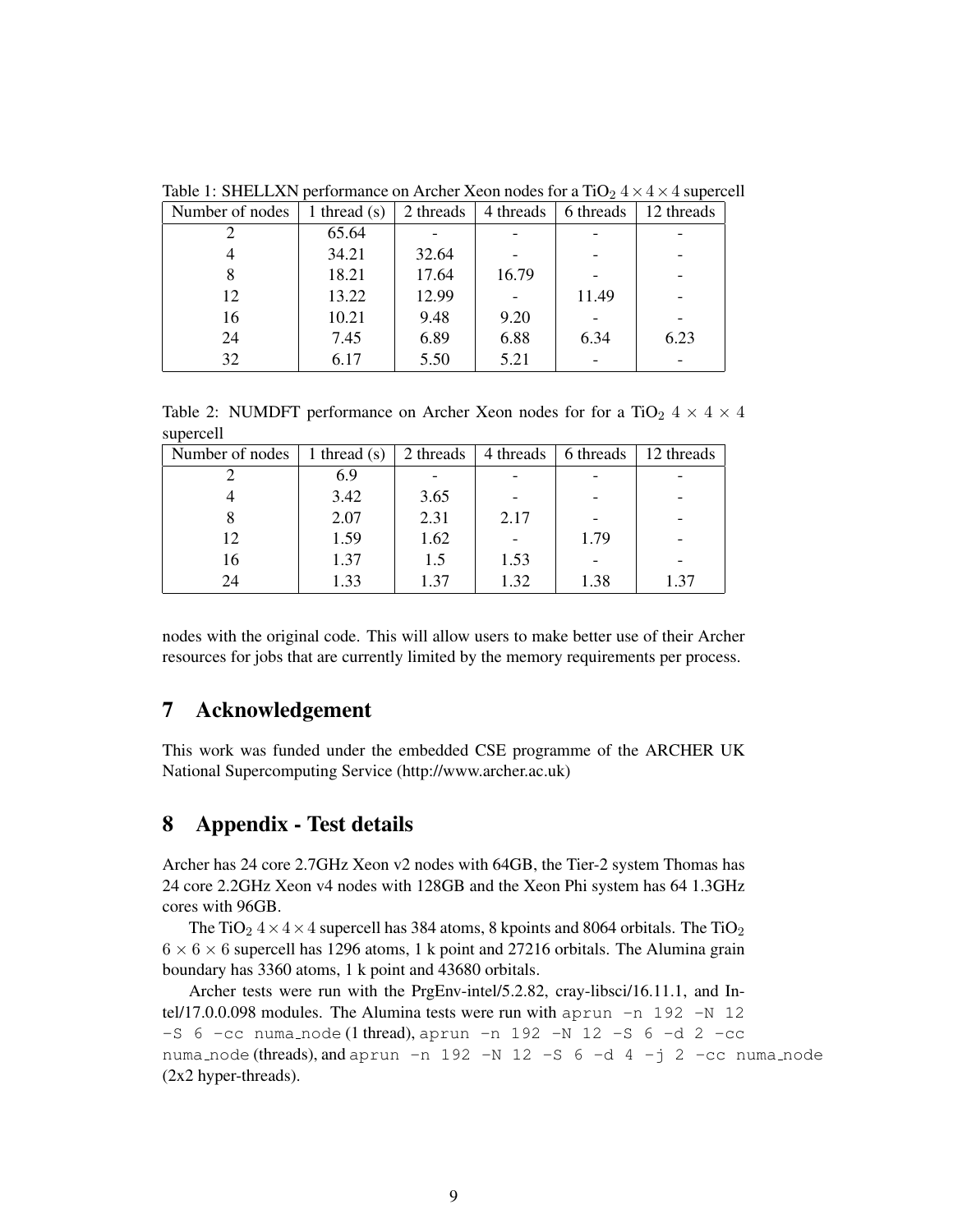| Number of nodes | 1 thread $(s)$ | 2 threads<br>4 threads |       | 6 threads | 12 threads |
|-----------------|----------------|------------------------|-------|-----------|------------|
|                 | 65.64          |                        |       |           |            |
|                 | 34.21          | 32.64                  |       |           | -          |
|                 | 18.21          | 17.64                  | 16.79 |           | -          |
| 12              | 13.22          | 12.99                  |       | 11.49     |            |
| 16              | 10.21          | 9.48                   | 9.20  |           |            |
| 24              | 7.45           | 6.89                   | 6.88  | 6.34      | 6.23       |
| 32              | 6.17           | 5.50                   | 5.21  |           |            |

Table 1: SHELLXN performance on Archer Xeon nodes for a  $TiO<sub>2</sub> 4 \times 4 \times 4$  supercell

Table 2: NUMDFT performance on Archer Xeon nodes for for a TiO<sub>2</sub>  $4 \times 4 \times 4$ supercell

| Number of nodes | 1 thread $(s)$ | 2 threads | 4 threads | 6 threads | 12 threads |  |
|-----------------|----------------|-----------|-----------|-----------|------------|--|
|                 | 6.9            |           |           |           |            |  |
|                 | 3.42           | 3.65      |           |           |            |  |
|                 | 2.07           | 2.31      | 2.17      |           |            |  |
| 12              | 1.59           | 1.62      |           | 1.79      |            |  |
| 16              | 1.37           | 1.5       | 1.53      |           |            |  |
| 24              | 1.33           | 1.37      | 1.32      | 1.38      | 1.37       |  |

nodes with the original code. This will allow users to make better use of their Archer resources for jobs that are currently limited by the memory requirements per process.

## 7 Acknowledgement

This work was funded under the embedded CSE programme of the ARCHER UK National Supercomputing Service (http://www.archer.ac.uk)

## 8 Appendix - Test details

Archer has 24 core 2.7GHz Xeon v2 nodes with 64GB, the Tier-2 system Thomas has 24 core 2.2GHz Xeon v4 nodes with 128GB and the Xeon Phi system has 64 1.3GHz cores with 96GB.

The TiO<sub>2</sub>  $4 \times 4 \times 4$  supercell has 384 atoms, 8 kpoints and 8064 orbitals. The TiO<sub>2</sub>  $6 \times 6 \times 6$  supercell has 1296 atoms, 1 k point and 27216 orbitals. The Alumina grain boundary has 3360 atoms, 1 k point and 43680 orbitals.

Archer tests were run with the PrgEnv-intel/5.2.82, cray-libsci/16.11.1, and Intel/17.0.0.098 modules. The Alumina tests were run with  $aprun -n 192 -N 12$  $-$ S 6  $-$ cc numa node (1 thread), aprun  $-n$  192  $-N$  12  $-$ S 6  $-d$  2  $-c$ c numa node (threads), and aprun -n 192 -N 12 -S  $6 -d$  4 -j 2 -cc numa node (2x2 hyper-threads).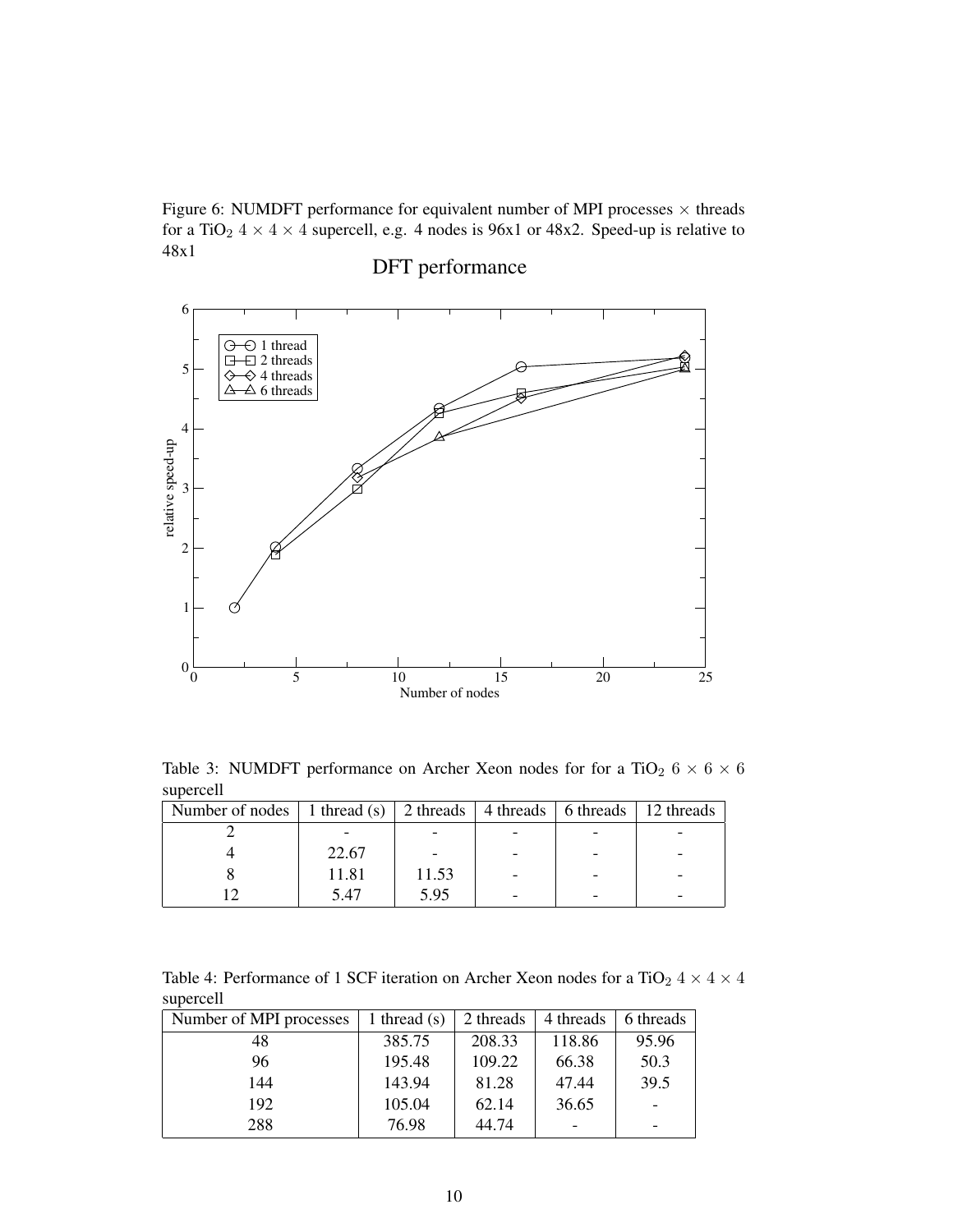Figure 6: NUMDFT performance for equivalent number of MPI processes  $\times$  threads for a TiO<sub>2</sub>  $4 \times 4 \times 4$  supercell, e.g. 4 nodes is 96x1 or 48x2. Speed-up is relative to 48x1

## 6  $\ominus$ 1 thread 日 2 threads 5  $\Leftrightarrow$  4 threads  $\leftrightarrow$  $\overline{\triangle}$  6 threads д 4 relative speed-up 3 2 1  $0\frac{L}{0}$ 0 5 10 15 20 25 Number of nodes

# DFT performance

Table 3: NUMDFT performance on Archer Xeon nodes for for a TiO<sub>2</sub>  $6 \times 6 \times 6$ supercell

| Number of nodes   1 thread (s)   2 threads   4 threads   6 threads   12 threads |       |       |  |  |  |
|---------------------------------------------------------------------------------|-------|-------|--|--|--|
|                                                                                 |       |       |  |  |  |
|                                                                                 | 22.67 |       |  |  |  |
|                                                                                 | 11.81 | 11.53 |  |  |  |
|                                                                                 | 5.47  | 5.95  |  |  |  |

Table 4: Performance of 1 SCF iteration on Archer Xeon nodes for a TiO<sub>2</sub> 4  $\times$  4  $\times$  4 supercell

| Number of MPI processes | 1 thread $(s)$ | 2 threads | 4 threads | 6 threads |  |
|-------------------------|----------------|-----------|-----------|-----------|--|
| 48                      | 385.75         | 208.33    | 118.86    | 95.96     |  |
| 96                      | 195.48         | 109.22    | 66.38     | 50.3      |  |
| 144                     | 143.94         | 81.28     | 47.44     | 39.5      |  |
| 192                     | 105.04         | 62.14     | 36.65     |           |  |
| 288                     | 76.98          | 44.74     |           |           |  |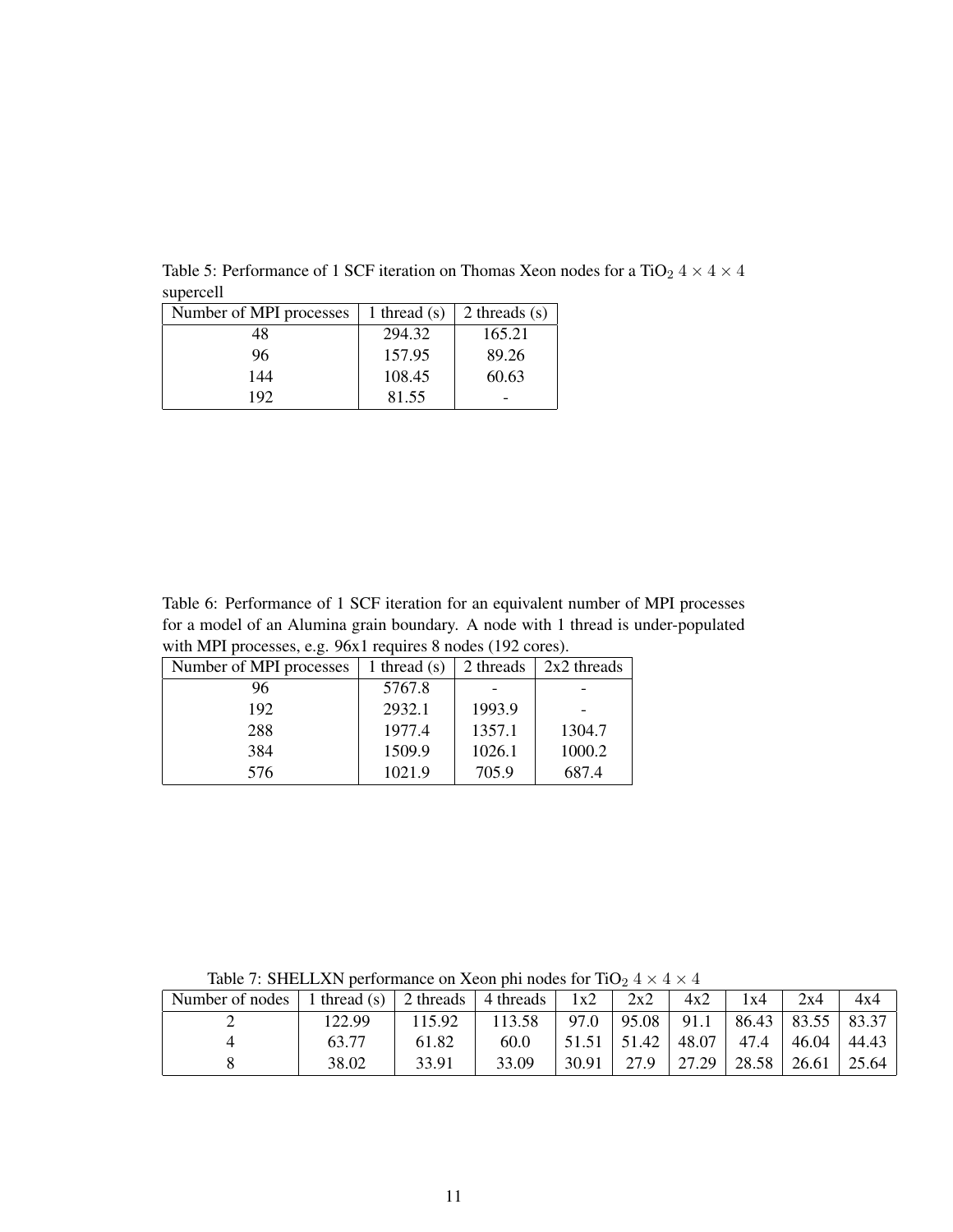| Number of MPI processes | 1 thread $(s)$ | 2 threads $(s)$ |
|-------------------------|----------------|-----------------|
| 48                      | 294.32         | 165.21          |
| 96                      | 157.95         | 89.26           |
| 144                     | 108.45         | 60.63           |
| 192                     | 81.55          |                 |

Table 5: Performance of 1 SCF iteration on Thomas Xeon nodes for a TiO<sub>2</sub> 4  $\times$  4  $\times$  4 supercell

Table 6: Performance of 1 SCF iteration for an equivalent number of MPI processes for a model of an Alumina grain boundary. A node with 1 thread is under-populated with MPI processes, e.g. 96x1 requires 8 nodes (192 cores).

| Number of MPI processes | 1 thread $(s)$ | 2 threads | $2x2$ threads |  |
|-------------------------|----------------|-----------|---------------|--|
| 96                      | 5767.8         |           |               |  |
| 192                     | 2932.1         | 1993.9    |               |  |
| 288                     | 1977.4         | 1357.1    | 1304.7        |  |
| 384                     | 1509.9         | 1026.1    | 1000.2        |  |
| 576                     | 1021.9         | 705.9     | 687.4         |  |

Table 7: SHELLXN performance on Xeon phi nodes for TiO<sub>2</sub>  $4 \times 4 \times 4$ 

| Number of nodes | 1 thread $(s)$ | 2 threads $\vert$ | 4 threads | 1x2   | 2x2   | 4x2   | 1x4   | 2x4   | 4x4           |
|-----------------|----------------|-------------------|-----------|-------|-------|-------|-------|-------|---------------|
|                 | 122.99         | 115.92            | 113.58    | 97.0  | 95.08 | 91.1  | 86.43 |       | 83.55   83.37 |
|                 | 63.77          | 61.82             | 60.0      | 51.51 | 51.42 | 48.07 | 47.4  | 46.04 | 44.43         |
|                 | 38.02          | 33.91             | 33.09     | 30.91 | 27.9  | 27.29 | 28.58 | 26.61 | 25.64         |